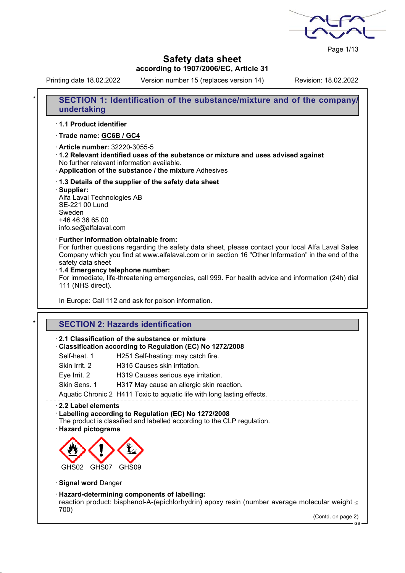Page 1/13

# **Safety data sheet according to 1907/2006/EC, Article 31**

Printing date 18.02.2022 Version number 15 (replaces version 14) Revision: 18.02.2022

# **SECTION 1: Identification of the substance/mixture and of the company undertaking** · **1.1 Product identifier** · **Trade name: GC6B / GC4** · **Article number:** 32220-3055-5 · **1.2 Relevant identified uses of the substance or mixture and uses advised against** No further relevant information available. · **Application of the substance / the mixture** Adhesives · **1.3 Details of the supplier of the safety data sheet** · **Supplier:** Alfa Laval Technologies AB SE-221 00 Lund Sweden +46 46 36 65 00 info.se@alfalaval.com · **Further information obtainable from:** For further questions regarding the safety data sheet, please contact your local Alfa Laval Sales Company which you find at www.alfalaval.com or in section 16 "Other Information" in the end of the safety data sheet · **1.4 Emergency telephone number:** For immediate, life-threatening emergencies, call 999. For health advice and information (24h) dial 111 (NHS direct). In Europe: Call 112 and ask for poison information. **SECTION 2: Hazards identification** · **2.1 Classification of the substance or mixture** · **Classification according to Regulation (EC) No 1272/2008** Self-heat. 1 H251 Self-heating: may catch fire. Skin Irrit. 2 H315 Causes skin irritation. Eye Irrit. 2 H319 Causes serious eye irritation. Skin Sens. 1 H317 May cause an allergic skin reaction. Aquatic Chronic 2 H411 Toxic to aquatic life with long lasting effects. · **2.2 Label elements** · **Labelling according to Regulation (EC) No 1272/2008** The product is classified and labelled according to the CLP regulation. · **Hazard pictograms** GHS02 GHS07 GHS09 · **Signal word** Danger · **Hazard-determining components of labelling:** reaction product: bisphenol-A-(epichlorhydrin) epoxy resin (number average molecular weight  $\leq$ 700) (Contd. on page 2) GB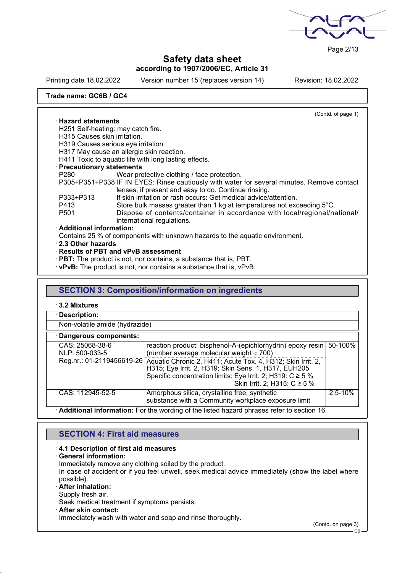

Page 2/13

# **Safety data sheet according to 1907/2006/EC, Article 31**

Printing date 18.02.2022 Version number 15 (replaces version 14) Revision: 18.02.2022

## **Trade name: GC6B / GC4**

|                              | (Contd. of page 1)                                                                         |
|------------------------------|--------------------------------------------------------------------------------------------|
| <b>· Hazard statements</b>   |                                                                                            |
|                              | H251 Self-heating: may catch fire.                                                         |
| H315 Causes skin irritation. |                                                                                            |
|                              | H319 Causes serious eye irritation.                                                        |
|                              | H317 May cause an allergic skin reaction.                                                  |
|                              | H411 Toxic to aquatic life with long lasting effects.                                      |
| · Precautionary statements   |                                                                                            |
| P280                         | Wear protective clothing / face protection.                                                |
|                              | P305+P351+P338 IF IN EYES: Rinse cautiously with water for several minutes. Remove contact |
|                              | lenses, if present and easy to do. Continue rinsing.                                       |
| P333+P313                    | If skin irritation or rash occurs: Get medical advice/attention.                           |
| P413                         | Store bulk masses greater than 1 kg at temperatures not exceeding 5°C.                     |
| P501                         | Dispose of contents/container in accordance with local/regional/national/                  |
|                              | international regulations.                                                                 |
| · Additional information:    |                                                                                            |
|                              | Contains 25 % of components with unknown hazards to the aquatic environment.               |
| 2.3 Other hazards            |                                                                                            |
|                              | Besults of BBT and vByB seconomist                                                         |

· **Results of PBT and vPvB assessment**

· **PBT:** The product is not, nor contains, a substance that is, PBT.

· **vPvB:** The product is not, nor contains a substance that is, vPvB.

### **SECTION 3: Composition/information on ingredients**

#### · **3.2 Mixtures**

· **Description:**

Non-volatile amide (hydrazide)

| · Dangerous components:                                                                   |                                                                                                                                                                                                                                                                                                                                                                        |             |
|-------------------------------------------------------------------------------------------|------------------------------------------------------------------------------------------------------------------------------------------------------------------------------------------------------------------------------------------------------------------------------------------------------------------------------------------------------------------------|-------------|
| CAS: 25068-38-6<br>NLP: 500-033-5                                                         | reaction product: bisphenol-A-(epichlorhydrin) epoxy resin 50-100%<br>(number average molecular weight $\leq 700$ )<br>Reg.nr.: 01-2119456619-26 Aquatic Chronic 2, H411; Acute Tox. 4, H312; Skin Irrit. 2,<br>H315; Eye Irrit. 2, H319; Skin Sens. 1, H317, EUH205<br>Specific concentration limits: Eye Irrit. 2; H319: $C \ge 5$ %<br>Skin Irrit. 2; H315: C ≥ 5 % |             |
| CAS: 112945-52-5                                                                          | Amorphous silica, crystalline free, synthetic<br>substance with a Community workplace exposure limit                                                                                                                                                                                                                                                                   | $2.5 - 10%$ |
| Additional information: For the wording of the listed hazard phrases refer to section 16. |                                                                                                                                                                                                                                                                                                                                                                        |             |

# **SECTION 4: First aid measures**

### · **4.1 Description of first aid measures**

### · **General information:**

Immediately remove any clothing soiled by the product.

In case of accident or if you feel unwell, seek medical advice immediately (show the label where possible).

### · **After inhalation:**

Supply fresh air.

Seek medical treatment if symptoms persists.

### · **After skin contact:**

Immediately wash with water and soap and rinse thoroughly.

(Contd. on page 3)

<sup>.&</sup>lt;br>GE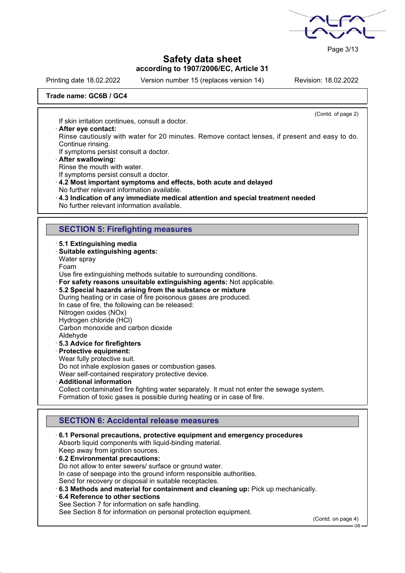Page 3/13

# **Safety data sheet according to 1907/2006/EC, Article 31**

Printing date 18.02.2022 Version number 15 (replaces version 14) Revision: 18.02.2022

(Contd. of page 2)

### **Trade name: GC6B / GC4**

If skin irritation continues, consult a doctor.

- · **After eye contact:**
- Rinse cautiously with water for 20 minutes. Remove contact lenses, if present and easy to do. Continue rinsing.

If symptoms persist consult a doctor.

- · **After swallowing:**
- Rinse the mouth with water.

If symptoms persist consult a doctor.

- · **4.2 Most important symptoms and effects, both acute and delayed** No further relevant information available.
- · **4.3 Indication of any immediate medical attention and special treatment needed** No further relevant information available.

## **SECTION 5: Firefighting measures**

- · **5.1 Extinguishing media**
- · **Suitable extinguishing agents:**
- Water spray
- Foam

Use fire extinguishing methods suitable to surrounding conditions.

· **For safety reasons unsuitable extinguishing agents:** Not applicable.

· **5.2 Special hazards arising from the substance or mixture** During heating or in case of fire poisonous gases are produced. In case of fire, the following can be released: Nitrogen oxides (NOx) Hydrogen chloride (HCl) Carbon monoxide and carbon dioxide Aldehyde

· **5.3 Advice for firefighters**

· **Protective equipment:**

Wear fully protective suit.

Do not inhale explosion gases or combustion gases.

Wear self-contained respiratory protective device.

· **Additional information**

Collect contaminated fire fighting water separately. It must not enter the sewage system. Formation of toxic gases is possible during heating or in case of fire.

# **SECTION 6: Accidental release measures**

· **6.1 Personal precautions, protective equipment and emergency procedures** Absorb liquid components with liquid-binding material. Keep away from ignition sources. · **6.2 Environmental precautions:** Do not allow to enter sewers/ surface or ground water. In case of seepage into the ground inform responsible authorities. Send for recovery or disposal in suitable receptacles. · **6.3 Methods and material for containment and cleaning up:** Pick up mechanically. · **6.4 Reference to other sections** See Section 7 for information on safe handling. See Section 8 for information on personal protection equipment.

(Contd. on page 4)

GB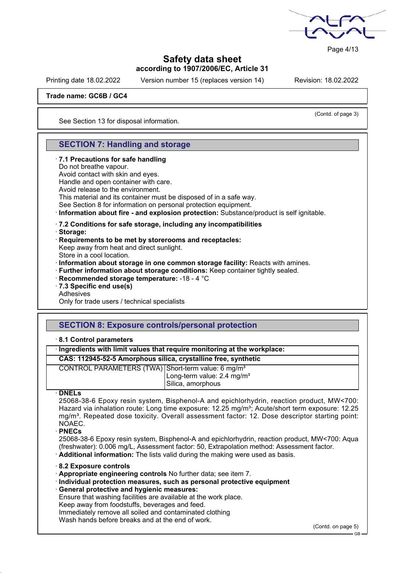

Page 4/13

# **Safety data sheet according to 1907/2006/EC, Article 31**

Printing date 18.02.2022 Version number 15 (replaces version 14) Revision: 18.02.2022

(Contd. of page 3)

### **Trade name: GC6B / GC4**

See Section 13 for disposal information.

# **SECTION 7: Handling and storage**

### · **7.1 Precautions for safe handling**

Do not breathe vapour.

Avoid contact with skin and eyes.

Handle and open container with care.

Avoid release to the environment.

This material and its container must be disposed of in a safe way.

See Section 8 for information on personal protection equipment.

· **Information about fire - and explosion protection:** Substance/product is self ignitable.

· **7.2 Conditions for safe storage, including any incompatibilities**

· **Storage:**

· **Requirements to be met by storerooms and receptacles:**

Keep away from heat and direct sunlight.

Store in a cool location.

· **Information about storage in one common storage facility:** Reacts with amines.

- · **Further information about storage conditions:** Keep container tightly sealed.
- · **Recommended storage temperature:** -18 4 °C
- · **7.3 Specific end use(s)**

Adhesives

Only for trade users / technical specialists

# **SECTION 8: Exposure controls/personal protection**

### · **8.1 Control parameters**

### · **Ingredients with limit values that require monitoring at the workplace:**

# **CAS: 112945-52-5 Amorphous silica, crystalline free, synthetic**

| CONTROL PARAMETERS (TWA) Short-term value: 6 mg/m <sup>3</sup> |                                        |
|----------------------------------------------------------------|----------------------------------------|
|                                                                | Long-term value: 2.4 mg/m <sup>3</sup> |
|                                                                | Silica, amorphous                      |

### · **DNELs**

25068-38-6 Epoxy resin system, Bisphenol-A and epichlorhydrin, reaction product, MW<700: Hazard via inhalation route: Long time exposure: 12.25 mg/m<sup>3</sup>; Acute/short term exposure: 12.25 mg/m<sup>3</sup>. Repeated dose toxicity. Overall assessment factor: 12. Dose descriptor starting point: NOAEC.

· **PNECs**

25068-38-6 Epoxy resin system, Bisphenol-A and epichlorhydrin, reaction product, MW<700: Aqua (freshwater): 0.006 mg/L, Assessment factor: 50, Extrapolation method: Assessment factor. · **Additional information:** The lists valid during the making were used as basis.

- · **8.2 Exposure controls**
- · **Appropriate engineering controls** No further data; see item 7.

· **Individual protection measures, such as personal protective equipment**

· **General protective and hygienic measures:**

Ensure that washing facilities are available at the work place.

Keep away from foodstuffs, beverages and feed.

Immediately remove all soiled and contaminated clothing

Wash hands before breaks and at the end of work.

(Contd. on page 5)

GB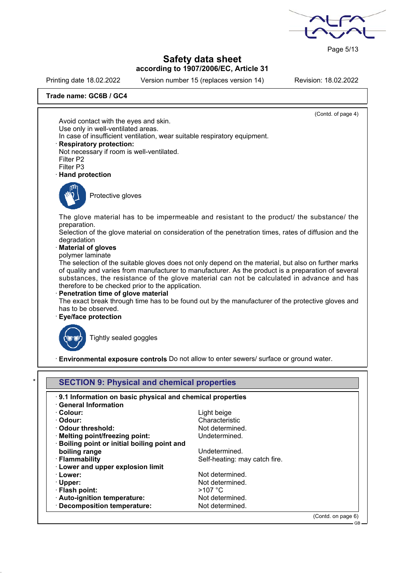Page 5/13

# **Safety data sheet according to 1907/2006/EC, Article 31**

Printing date 18.02.2022 Version number 15 (replaces version 14) Revision: 18.02.2022

(Contd. of page 4)

GB

### **Trade name: GC6B / GC4**

Avoid contact with the eyes and skin. Use only in well-ventilated areas. In case of insufficient ventilation, wear suitable respiratory equipment. · **Respiratory protection:** Not necessary if room is well-ventilated. Filter P2 Filter P3 · **Hand protection** Protective gloves The glove material has to be impermeable and resistant to the product/ the substance/ the

preparation. Selection of the glove material on consideration of the penetration times, rates of diffusion and the

#### degradation · **Material of gloves**

polymer laminate

The selection of the suitable gloves does not only depend on the material, but also on further marks of quality and varies from manufacturer to manufacturer. As the product is a preparation of several substances, the resistance of the glove material can not be calculated in advance and has therefore to be checked prior to the application.

· **Penetration time of glove material**

The exact break through time has to be found out by the manufacturer of the protective gloves and has to be observed.

· **Eye/face protection**



Tightly sealed goggles

· **Environmental exposure controls** Do not allow to enter sewers/ surface or ground water.

| .9.1 Information on basic physical and chemical properties |                               |  |
|------------------------------------------------------------|-------------------------------|--|
| <b>General Information</b>                                 |                               |  |
| $\cdot$ Colour:                                            | Light beige                   |  |
| · Odour:                                                   | Characteristic                |  |
| Odour threshold:                                           | Not determined.               |  |
| · Melting point/freezing point:                            | Undetermined.                 |  |
| · Boiling point or initial boiling point and               |                               |  |
| boiling range                                              | Undetermined.                 |  |
| · Flammability                                             | Self-heating: may catch fire. |  |
| · Lower and upper explosion limit                          |                               |  |
| · Lower:                                                   | Not determined.               |  |
| $\cdot$ Upper:                                             | Not determined.               |  |
| · Flash point:                                             | $>107$ °C                     |  |
| · Auto-ignition temperature:                               | Not determined.               |  |
| · Decomposition temperature:                               | Not determined.               |  |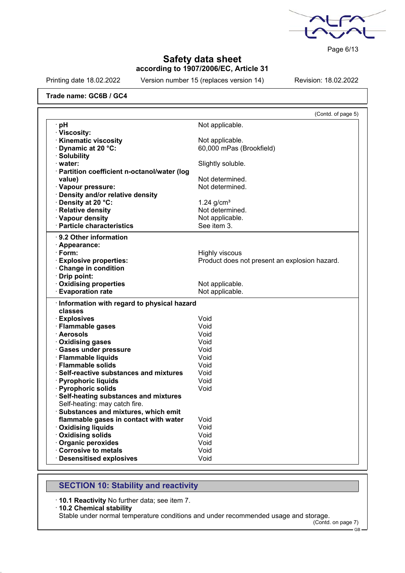

Page 6/13

# **Safety data sheet according to 1907/2006/EC, Article 31**

Printing date 18.02.2022 Version number 15 (replaces version 14) Revision: 18.02.2022

### **Trade name: GC6B / GC4**

|                                              | (Contd. of page 5)                            |
|----------------------------------------------|-----------------------------------------------|
| рH                                           | Not applicable.                               |
| · Viscosity:                                 |                                               |
| <b>Kinematic viscosity</b>                   | Not applicable.                               |
| Dynamic at 20 °C:                            | 60,000 mPas (Brookfield)                      |
| · Solubility                                 |                                               |
| · water:                                     | Slightly soluble.                             |
| · Partition coefficient n-octanol/water (log |                                               |
| value)                                       | Not determined.                               |
| · Vapour pressure:                           | Not determined.                               |
| Density and/or relative density              |                                               |
| Density at 20 °C:                            |                                               |
|                                              | $1.24$ g/cm <sup>3</sup>                      |
| · Relative density                           | Not determined.                               |
| · Vapour density                             | Not applicable.                               |
| · Particle characteristics                   | See item 3.                                   |
| $\cdot$ 9.2 Other information                |                                               |
| · Appearance:                                |                                               |
| $\cdot$ Form:                                | <b>Highly viscous</b>                         |
| <b>Explosive properties:</b>                 | Product does not present an explosion hazard. |
| Change in condition                          |                                               |
| Drip point:                                  |                                               |
| <b>Oxidising properties</b>                  | Not applicable.                               |
| <b>Evaporation rate</b>                      | Not applicable.                               |
|                                              |                                               |
| Information with regard to physical hazard   |                                               |
| classes                                      |                                               |
| · Explosives                                 | Void                                          |
| · Flammable gases                            | Void                                          |
| · Aerosols                                   | Void                                          |
| Oxidising gases                              | Void                                          |
| · Gases under pressure                       | Void                                          |
| · Flammable liquids                          | Void                                          |
| $\cdot$ Flammable solids                     | Void                                          |
| Self-reactive substances and mixtures        | Void                                          |
| · Pyrophoric liquids                         | Void                                          |
| · Pyrophoric solids                          | Void                                          |
| · Self-heating substances and mixtures       |                                               |
| Self-heating: may catch fire.                |                                               |
| Substances and mixtures, which emit          |                                               |
| flammable gases in contact with water        | Void                                          |
| <b>Oxidising liquids</b>                     | Void                                          |
| <b>Oxidising solids</b>                      | Void                                          |
| · Organic peroxides                          | Void                                          |
| <b>Corrosive to metals</b>                   | Void                                          |
| · Desensitised explosives                    | Void                                          |
|                                              |                                               |

# **SECTION 10: Stability and reactivity**

· **10.1 Reactivity** No further data; see item 7.

#### · **10.2 Chemical stability**

Stable under normal temperature conditions and under recommended usage and storage.

(Contd. on page 7) GB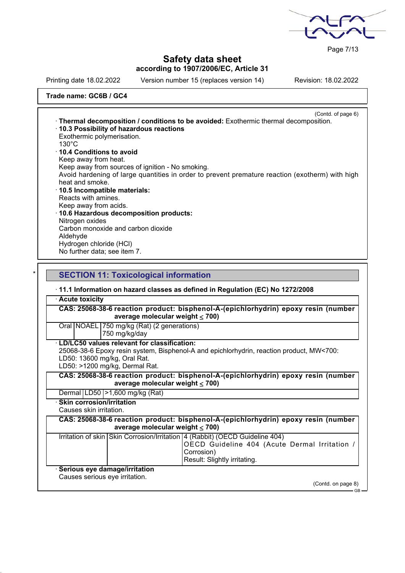

Page 7/13

# **Safety data sheet according to 1907/2006/EC, Article 31**

Printing date 18.02.2022 Version number 15 (replaces version 14) Revision: 18.02.2022

### **Trade name: GC6B / GC4**

(Contd. of page 6) · **Thermal decomposition / conditions to be avoided:** Exothermic thermal decomposition. · **10.3 Possibility of hazardous reactions** Exothermic polymerisation. 130°C · **10.4 Conditions to avoid** Keep away from heat. Keep away from sources of ignition - No smoking. Avoid hardening of large quantities in order to prevent premature reaction (exotherm) with high heat and smoke. · **10.5 Incompatible materials:** Reacts with amines. Keep away from acids. · **10.6 Hazardous decomposition products:** Nitrogen oxides Carbon monoxide and carbon dioxide Aldehyde Hydrogen chloride (HCl) No further data; see item 7.

## **SECTION 11: Toxicological information**

· **11.1 Information on hazard classes as defined in Regulation (EC) No 1272/2008** · **Acute toxicity CAS: 25068-38-6 reaction product: bisphenol-A-(epichlorhydrin) epoxy resin (number** average molecular weight  $\leq 700$ ) Oral NOAEL 750 mg/kg (Rat) (2 generations) 750 mg/kg/day · **LD/LC50 values relevant for classification:** 25068-38-6 Epoxy resin system, Bisphenol-A and epichlorhydrin, reaction product, MW<700: LD50: 13600 mg/kg, Oral Rat. LD50: >1200 mg/kg, Dermal Rat. **CAS: 25068-38-6 reaction product: bisphenol-A-(epichlorhydrin) epoxy resin (number** average molecular weight  $\leq 700$ ) Dermal LD50 >1,600 mg/kg (Rat) · **Skin corrosion/irritation** Causes skin irritation. **CAS: 25068-38-6 reaction product: bisphenol-A-(epichlorhydrin) epoxy resin (number** average molecular weight  $\leq 700$ )

|                                                                 | Irritation of skin Skin Corrosion/Irritation 4 (Rabbit) (OECD Guideline 404)<br>OECD Guideline 404 (Acute Dermal Irritation /<br>l Corrosion)<br>Result: Slightly irritating. |
|-----------------------------------------------------------------|-------------------------------------------------------------------------------------------------------------------------------------------------------------------------------|
| Serious eye damage/irritation<br>Causes serious eye irritation. |                                                                                                                                                                               |

(Contd. on page 8)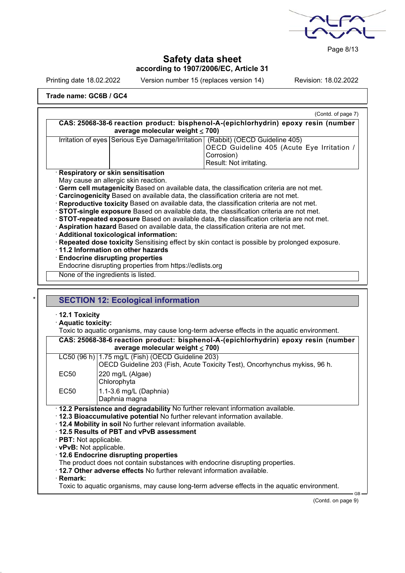

Page 8/13

# **Safety data sheet according to 1907/2006/EC, Article 31**

Printing date 18.02.2022 Version number 15 (replaces version 14) Revision: 18.02.2022

# **Trade name: GC6B / GC4**

|                                                                                                                                           | (Contd. of page 7)                                                                                                                                     |  |
|-------------------------------------------------------------------------------------------------------------------------------------------|--------------------------------------------------------------------------------------------------------------------------------------------------------|--|
|                                                                                                                                           | CAS: 25068-38-6 reaction product: bisphenol-A-(epichlorhydrin) epoxy resin (number                                                                     |  |
|                                                                                                                                           | average molecular weight $\leq 700$ )                                                                                                                  |  |
|                                                                                                                                           | Irritation of eyes Serious Eye Damage/Irritation   (Rabbit) (OECD Guideline 405)                                                                       |  |
|                                                                                                                                           | OECD Guideline 405 (Acute Eye Irritation /                                                                                                             |  |
|                                                                                                                                           | Corrosion)                                                                                                                                             |  |
|                                                                                                                                           | Result: Not irritating.                                                                                                                                |  |
|                                                                                                                                           | Respiratory or skin sensitisation                                                                                                                      |  |
|                                                                                                                                           | May cause an allergic skin reaction.                                                                                                                   |  |
|                                                                                                                                           | Germ cell mutagenicity Based on available data, the classification criteria are not met.                                                               |  |
|                                                                                                                                           | Carcinogenicity Based on available data, the classification criteria are not met.                                                                      |  |
|                                                                                                                                           | · Reproductive toxicity Based on available data, the classification criteria are not met.                                                              |  |
|                                                                                                                                           | STOT-single exposure Based on available data, the classification criteria are not met.                                                                 |  |
|                                                                                                                                           | STOT-repeated exposure Based on available data, the classification criteria are not met.                                                               |  |
| · Aspiration hazard Based on available data, the classification criteria are not met.                                                     |                                                                                                                                                        |  |
| · Additional toxicological information:<br>· Repeated dose toxicity Sensitising effect by skin contact is possible by prolonged exposure. |                                                                                                                                                        |  |
|                                                                                                                                           | · 11.2 Information on other hazards                                                                                                                    |  |
|                                                                                                                                           | <b>Endocrine disrupting properties</b>                                                                                                                 |  |
|                                                                                                                                           | Endocrine disrupting properties from https://edlists.org                                                                                               |  |
|                                                                                                                                           |                                                                                                                                                        |  |
|                                                                                                                                           | None of the ingredients is listed.                                                                                                                     |  |
|                                                                                                                                           |                                                                                                                                                        |  |
|                                                                                                                                           |                                                                                                                                                        |  |
|                                                                                                                                           |                                                                                                                                                        |  |
|                                                                                                                                           | <b>SECTION 12: Ecological information</b>                                                                                                              |  |
|                                                                                                                                           |                                                                                                                                                        |  |
| $\cdot$ 12.1 Toxicity                                                                                                                     |                                                                                                                                                        |  |
| · Aquatic toxicity:                                                                                                                       | Toxic to aquatic organisms, may cause long-term adverse effects in the aquatic environment.                                                            |  |
|                                                                                                                                           |                                                                                                                                                        |  |
|                                                                                                                                           | CAS: 25068-38-6 reaction product: bisphenol-A-(epichlorhydrin) epoxy resin (number                                                                     |  |
|                                                                                                                                           | average molecular weight $\leq 700$ )                                                                                                                  |  |
|                                                                                                                                           | LC50 (96 h)   1.75 mg/L (Fish) (OECD Guideline 203)                                                                                                    |  |
|                                                                                                                                           | OECD Guideline 203 (Fish, Acute Toxicity Test), Oncorhynchus mykiss, 96 h.                                                                             |  |
| <b>EC50</b>                                                                                                                               | 220 mg/L (Algae)                                                                                                                                       |  |
|                                                                                                                                           | Chlorophyta                                                                                                                                            |  |
| <b>EC50</b>                                                                                                                               | 1.1-3.6 mg/L (Daphnia)                                                                                                                                 |  |
|                                                                                                                                           | Daphnia magna                                                                                                                                          |  |
|                                                                                                                                           | · 12.2 Persistence and degradability No further relevant information available.                                                                        |  |
|                                                                                                                                           | · 12.3 Bioaccumulative potential No further relevant information available.                                                                            |  |
|                                                                                                                                           | . 12.4 Mobility in soil No further relevant information available.                                                                                     |  |
|                                                                                                                                           | 12.5 Results of PBT and vPvB assessment                                                                                                                |  |
| · PBT: Not applicable.                                                                                                                    |                                                                                                                                                        |  |
|                                                                                                                                           | · vPvB: Not applicable.                                                                                                                                |  |
|                                                                                                                                           | 12.6 Endocrine disrupting properties                                                                                                                   |  |
|                                                                                                                                           | The product does not contain substances with endocrine disrupting properties.<br>12.7 Other adverse effects No further relevant information available. |  |

· **Remark:**

Toxic to aquatic organisms, may cause long-term adverse effects in the aquatic environment.

(Contd. on page 9)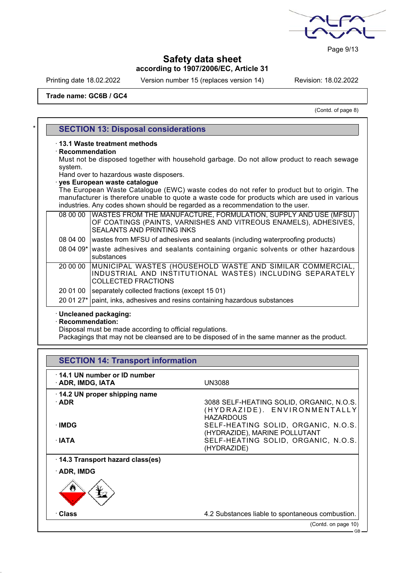

Page 9/13

# **Safety data sheet according to 1907/2006/EC, Article 31**

Printing date 18.02.2022 Version number 15 (replaces version 14) Revision: 18.02.2022

### **Trade name: GC6B / GC4**

(Contd. of page 8)

# **SECTION 13: Disposal considerations**

### · **13.1 Waste treatment methods**

· **Recommendation**

Must not be disposed together with household garbage. Do not allow product to reach sewage system.

Hand over to hazardous waste disposers.

## · **yes European waste catalogue**

The European Waste Catalogue (EWC) waste codes do not refer to product but to origin. The manufacturer is therefore unable to quote a waste code for products which are used in various industries. Any codes shown should be regarded as a recommendation to the user.

| 08 00 00   WASTES FROM THE MANUFACTURE, FORMULATION, SUPPLY AND USE (MFSU)               |  |
|------------------------------------------------------------------------------------------|--|
| OF COATINGS (PAINTS, VARNISHES AND VITREOUS ENAMELS), ADHESIVES, I                       |  |
| <b>SEALANTS AND PRINTING INKS</b>                                                        |  |
| 08 04 00   wastes from MFSU of adhesives and sealants (including waterproofing products) |  |
| 08 04 09* waste adhesives and sealants containing organic solvents or other hazardous    |  |
| substances                                                                               |  |
| 20 00 00   MUNICIPAL WASTES (HOUSEHOLD WASTE AND SIMILAR COMMERCIAL,                     |  |
| IINDUSTRIAL AND INSTITUTIONAL WASTES) INCLUDING SEPARATELY                               |  |
| COLLECTED FRACTIONS                                                                      |  |

20 01 00 separately collected fractions (except 15 01)

20 01 27\* paint, inks, adhesives and resins containing hazardous substances

### · **Uncleaned packaging:**

· **Recommendation:**

Disposal must be made according to official regulations.

Packagings that may not be cleansed are to be disposed of in the same manner as the product.

| <b>SECTION 14: Transport information</b>                       |                                                                                                                                                                                                             |
|----------------------------------------------------------------|-------------------------------------------------------------------------------------------------------------------------------------------------------------------------------------------------------------|
| 14.1 UN number or ID number<br>· ADR, IMDG, IATA               | <b>UN3088</b>                                                                                                                                                                                               |
| 14.2 UN proper shipping name<br>· ADR<br>∙IMDG<br>$\cdot$ IATA | 3088 SELF-HEATING SOLID, ORGANIC, N.O.S.<br>(HYDRAZIDE). ENVIRONMENTALLY<br><b>HAZARDOUS</b><br>SELF-HEATING SOLID, ORGANIC, N.O.S.<br>(HYDRAZIDE), MARINE POLLUTANT<br>SELF-HEATING SOLID, ORGANIC, N.O.S. |
| 14.3 Transport hazard class(es)<br>$\cdot$ ADR, IMDG           | (HYDRAZIDE)                                                                                                                                                                                                 |
|                                                                |                                                                                                                                                                                                             |
| · Class                                                        | 4.2 Substances liable to spontaneous combustion.                                                                                                                                                            |
|                                                                | (Contd. on page 10)<br>- GB —                                                                                                                                                                               |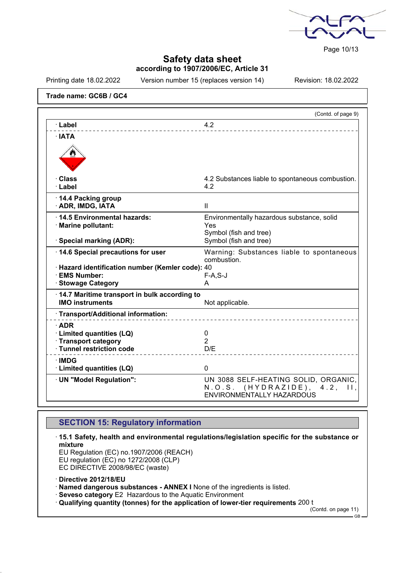

Page 10/13

# **Safety data sheet according to 1907/2006/EC, Article 31**

Printing date 18.02.2022 Version number 15 (replaces version 14) Revision: 18.02.2022

### **Trade name: GC6B / GC4**

|                                                                        | (Contd. of page 9)                                                                                            |
|------------------------------------------------------------------------|---------------------------------------------------------------------------------------------------------------|
| · Label                                                                | 4.2                                                                                                           |
| ∴IATA                                                                  |                                                                                                               |
|                                                                        |                                                                                                               |
| <b>Class</b>                                                           | 4.2 Substances liable to spontaneous combustion.                                                              |
| · Label                                                                | 4.2                                                                                                           |
| 14.4 Packing group<br>· ADR, IMDG, IATA                                | $\mathbf{H}$                                                                                                  |
| 14.5 Environmental hazards:<br>· Marine pollutant:                     | Environmentally hazardous substance, solid<br>Yes<br>Symbol (fish and tree)                                   |
| · Special marking (ADR):                                               | Symbol (fish and tree)                                                                                        |
| 14.6 Special precautions for user                                      | Warning: Substances liable to spontaneous<br>combustion.                                                      |
| · Hazard identification number (Kemler code): 40                       |                                                                                                               |
| · EMS Number:                                                          | $F-A, S-J$                                                                                                    |
| · Stowage Category                                                     | A                                                                                                             |
| 14.7 Maritime transport in bulk according to<br><b>IMO instruments</b> | Not applicable.                                                                                               |
| · Transport/Additional information:                                    |                                                                                                               |
| $\cdot$ ADR                                                            |                                                                                                               |
| · Limited quantities (LQ)                                              | 0                                                                                                             |
| · Transport category                                                   | $\overline{2}$                                                                                                |
| <b>Tunnel restriction code</b>                                         | D/E                                                                                                           |
| $\cdot$ IMDG<br>· Limited quantities (LQ)                              | 0                                                                                                             |
| · UN "Model Regulation":                                               | UN 3088 SELF-HEATING SOLID, ORGANIC,<br>$N.O.S.$ $(HYDRAZIDE),$<br>$4.2$ ,<br>Н.<br>ENVIRONMENTALLY HAZARDOUS |

# **SECTION 15: Regulatory information**

· **15.1 Safety, health and environmental regulations/legislation specific for the substance or mixture**

EU Regulation (EC) no.1907/2006 (REACH) EU regulation (EC) no 1272/2008 (CLP) EC DIRECTIVE 2008/98/EC (waste)

· **Directive 2012/18/EU**

· **Named dangerous substances - ANNEX I** None of the ingredients is listed.

· **Seveso category** E2 Hazardous to the Aquatic Environment

· **Qualifying quantity (tonnes) for the application of lower-tier requirements** 200 t

(Contd. on page 11)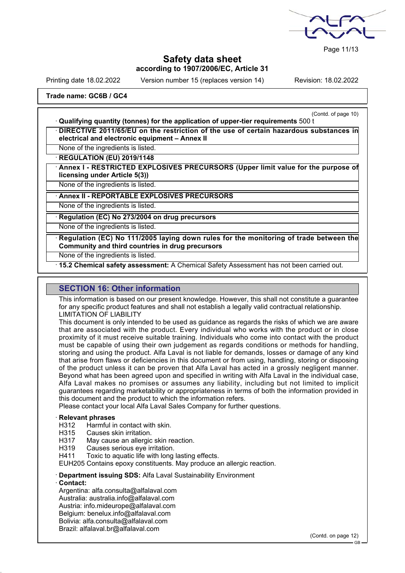

Page 11/13

# **Safety data sheet according to 1907/2006/EC, Article 31**

Printing date 18.02.2022 Version number 15 (replaces version 14) Revision: 18.02.2022

(Contd. of page 10)

# **Trade name: GC6B / GC4**

· **Qualifying quantity (tonnes) for the application of upper-tier requirements** 500 t

· **DIRECTIVE 2011/65/EU on the restriction of the use of certain hazardous substances in electrical and electronic equipment – Annex II**

None of the ingredients is listed.

· **REGULATION (EU) 2019/1148**

· **Annex I - RESTRICTED EXPLOSIVES PRECURSORS (Upper limit value for the purpose of licensing under Article 5(3))**

None of the ingredients is listed.

### · **Annex II - REPORTABLE EXPLOSIVES PRECURSORS**

None of the ingredients is listed.

· **Regulation (EC) No 273/2004 on drug precursors**

None of the ingredients is listed.

· **Regulation (EC) No 111/2005 laying down rules for the monitoring of trade between the Community and third countries in drug precursors**

None of the ingredients is listed.

· **15.2 Chemical safety assessment:** A Chemical Safety Assessment has not been carried out.

### **SECTION 16: Other information**

This information is based on our present knowledge. However, this shall not constitute a guarantee for any specific product features and shall not establish a legally valid contractual relationship. LIMITATION OF LIABILITY

This document is only intended to be used as guidance as regards the risks of which we are aware that are associated with the product. Every individual who works with the product or in close proximity of it must receive suitable training. Individuals who come into contact with the product must be capable of using their own judgement as regards conditions or methods for handling, storing and using the product. Alfa Laval is not liable for demands, losses or damage of any kind that arise from flaws or deficiencies in this document or from using, handling, storing or disposing of the product unless it can be proven that Alfa Laval has acted in a grossly negligent manner. Beyond what has been agreed upon and specified in writing with Alfa Laval in the individual case, Alfa Laval makes no promises or assumes any liability, including but not limited to implicit guarantees regarding marketability or appropriateness in terms of both the information provided in this document and the product to which the information refers.

Please contact your local Alfa Laval Sales Company for further questions.

### · **Relevant phrases**

H312 Harmful in contact with skin.

H315 Causes skin irritation.

H317 May cause an allergic skin reaction.

H319 Causes serious eye irritation.

H411 Toxic to aquatic life with long lasting effects.

EUH205 Contains epoxy constituents. May produce an allergic reaction.

#### · **Department issuing SDS:** Alfa Laval Sustainability Environment

#### · **Contact:**

Argentina: alfa.consulta@alfalaval.com Australia: australia.info@alfalaval.com Austria: info.mideurope@alfalaval.com Belgium: benelux.info@alfalaval.com Bolivia: alfa.consulta@alfalaval.com Brazil: alfalaval.br@alfalaval.com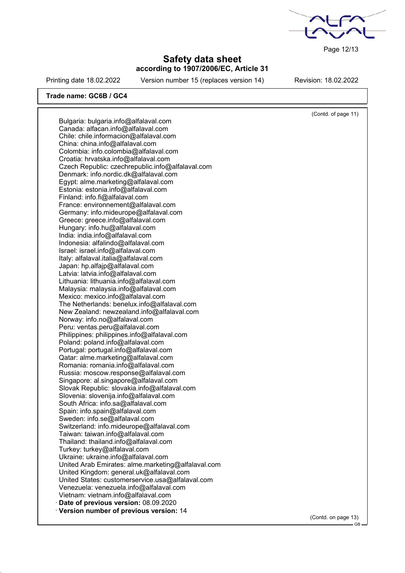Page 12/13

# **Safety data sheet according to 1907/2006/EC, Article 31**

Printing date 18.02.2022 Version number 15 (replaces version 14) Revision: 18.02.2022

(Contd. of page 11)

### **Trade name: GC6B / GC4**

Bulgaria: bulgaria.info@alfalaval.com Canada: alfacan.info@alfalaval.com Chile: chile.informacion@alfalaval.com China: china.info@alfalaval.com Colombia: info.colombia@alfalaval.com Croatia: hrvatska.info@alfalaval.com Czech Republic: czechrepublic.info@alfalaval.com Denmark: info.nordic.dk@alfalaval.com Egypt: alme.marketing@alfalaval.com Estonia: estonia.info@alfalaval.com Finland: info.fi@alfalaval.com France: environnement@alfalaval.com Germany: info.mideurope@alfalaval.com Greece: greece.info@alfalaval.com Hungary: info.hu@alfalaval.com India: india.info@alfalaval.com Indonesia: alfalindo@alfalaval.com Israel: israel.info@alfalaval.com Italy: alfalaval.italia@alfalaval.com Japan: hp.alfajp@alfalaval.com Latvia: latvia.info@alfalaval.com Lithuania: lithuania.info@alfalaval.com Malaysia: malaysia.info@alfalaval.com Mexico: mexico.info@alfalaval.com The Netherlands: benelux.info@alfalaval.com New Zealand: newzealand.info@alfalaval.com Norway: info.no@alfalaval.com Peru: ventas.peru@alfalaval.com Philippines: philippines.info@alfalaval.com Poland: poland.info@alfalaval.com Portugal: portugal.info@alfalaval.com Qatar: alme.marketing@alfalaval.com Romania: romania.info@alfalaval.com Russia: moscow.response@alfalaval.com Singapore: al.singapore@alfalaval.com Slovak Republic: slovakia.info@alfalaval.com Slovenia: slovenija.info@alfalaval.com South Africa: info.sa@alfalaval.com Spain: info.spain@alfalaval.com Sweden: info.se@alfalaval.com Switzerland: info.mideurope@alfalaval.com Taiwan: taiwan.info@alfalaval.com Thailand: thailand.info@alfalaval.com Turkey: turkey@alfalaval.com Ukraine: ukraine.info@alfalaval.com United Arab Emirates: alme.marketing@alfalaval.com United Kingdom: general.uk@alfalaval.com United States: customerservice.usa@alfalaval.com Venezuela: venezuela.info@alfalaval.com Vietnam: vietnam.info@alfalaval.com · **Date of previous version:** 08.09.2020 · **Version number of previous version:** 14

(Contd. on page 13)